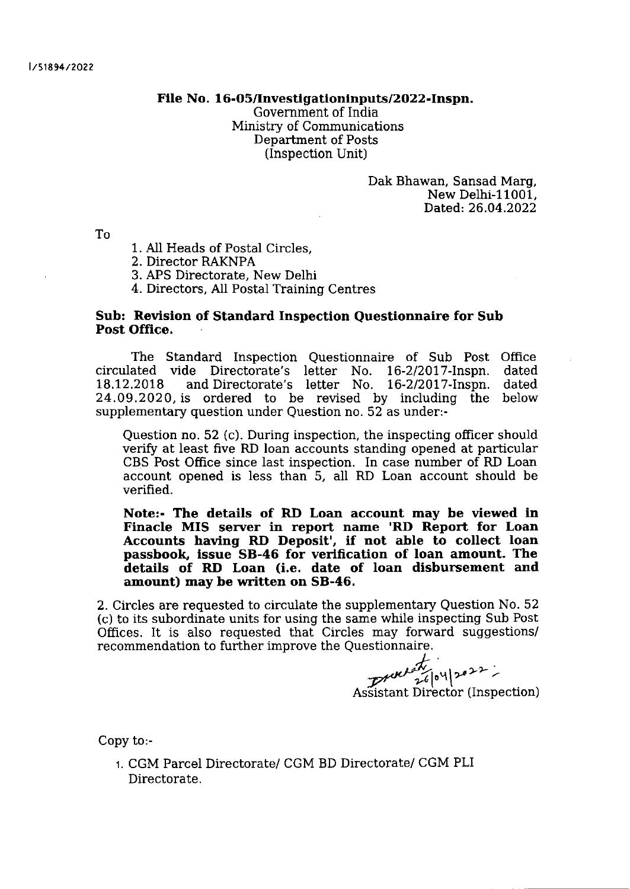## File No. 16-05/Investigationinputs/2022-Inspn.

Government of India Ministry of Communications Department of Posts (Inspection Unit)

> Dak Bhawan, Sansad Marg, New Delhi-11001. Dated: 26.04.2022

To

- <sup>1</sup>. AII Heads of Postal Circles,
- 2. Director RAKNPA
- 3. APS Directorate, New Delhi
- 4. Directors, AII Postal Training Centres

## Sub: Revision of Standard Inspection Questionnaire for Sub Post Office.

The Standard Inspection Questionnaire of Sub Post Office<br>ated vide Directorate's letter No. 16-2/2017-Inspn. dated circulated vide Directorate's letter No. 16-212077 -lnspn. dated and Directorate's letter No. 16-2/2017-Inspn. 24 .09 .2020, is ordered to be revised by including the below supplementary question under Question no. 52 as under:-

Question no. 52 (c). During inspection, the inspecting officer should verify at least five RD loan accounts standing opened at particular CBS Post Office since last inspection. In case number of RD Loan account opened is less than 5, all RD Loan account should be verified.

Note:- The details of RD Loan account may be vlewed in Finacle MIS server in report name 'RD Report for Loan Accounts having RD Deposit', if not able to collect loan passbook, lssue 58-46 for verlflcation of loan amount. The details of RD Loan (i.e. date of loan disbursement and amount) may be written on 58-46,

2. Circles are requested to circulate the supplementary Question No. 52 (c) to its subordinate units for using the same while inspecting Sub Post Offices. It is also requested that Circles may forward suggestions/ recommendation to further improve the Questionnaire.

 $260420$ 

ASSIStant Director (Inspection)

Copy to:-

r. CGM Parcel Directorate/ CGM BD Directorate/ CGM PLI Directorate.